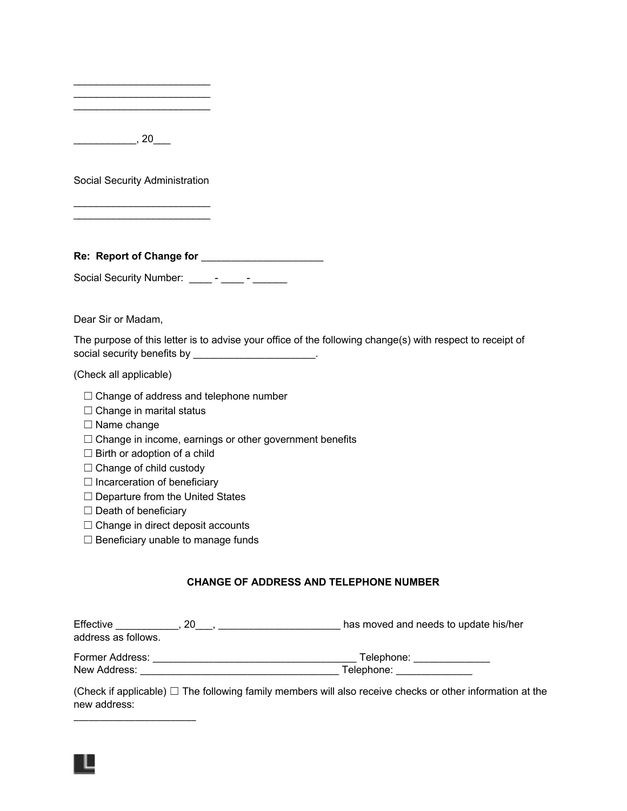| <u> 1989 - Johann John Harry Harry Harry Harry Harry Harry Harry Harry Harry Harry Harry Harry Harry Harry Harry Harry Harry Harry Harry Harry Harry Harry Harry Harry Harry Harry Harry Harry Harry Harry Harry Harry Harry Har</u><br><u> 1950 - Johann John Stoff, deutscher Stoffen und der Stoffen und der Stoffen und der Stoffen und der Stoffen und der Stoffen und der Stoffen und der Stoffen und der Stoffen und der Stoffen und der Stoffen und der Stoffen </u> |                                    |                                                                                                           |
|------------------------------------------------------------------------------------------------------------------------------------------------------------------------------------------------------------------------------------------------------------------------------------------------------------------------------------------------------------------------------------------------------------------------------------------------------------------------------|------------------------------------|-----------------------------------------------------------------------------------------------------------|
| $\frac{1}{20}$ , 20 $\frac{1}{20}$                                                                                                                                                                                                                                                                                                                                                                                                                                           |                                    |                                                                                                           |
| Social Security Administration                                                                                                                                                                                                                                                                                                                                                                                                                                               |                                    |                                                                                                           |
|                                                                                                                                                                                                                                                                                                                                                                                                                                                                              |                                    |                                                                                                           |
|                                                                                                                                                                                                                                                                                                                                                                                                                                                                              |                                    |                                                                                                           |
| Social Security Number: _____ - _____ - ______                                                                                                                                                                                                                                                                                                                                                                                                                               |                                    |                                                                                                           |
| Dear Sir or Madam,                                                                                                                                                                                                                                                                                                                                                                                                                                                           |                                    |                                                                                                           |
| social security benefits by ______________________.                                                                                                                                                                                                                                                                                                                                                                                                                          |                                    | The purpose of this letter is to advise your office of the following change(s) with respect to receipt of |
| (Check all applicable)                                                                                                                                                                                                                                                                                                                                                                                                                                                       |                                    |                                                                                                           |
| $\Box$ Change of address and telephone number<br>□ Change in marital status<br>$\Box$ Name change<br>$\Box$ Change in income, earnings or other government benefits<br>$\Box$ Birth or adoption of a child<br>$\Box$ Change of child custody<br>$\Box$ Incarceration of beneficiary<br>$\Box$ Departure from the United States<br>$\Box$ Death of beneficiary<br>$\Box$ Change in direct deposit accounts                                                                    | Beneficiary unable to manage funds |                                                                                                           |
|                                                                                                                                                                                                                                                                                                                                                                                                                                                                              |                                    | <b>CHANGE OF ADDRESS AND TELEPHONE NUMBER</b>                                                             |
| address as follows.                                                                                                                                                                                                                                                                                                                                                                                                                                                          |                                    |                                                                                                           |

Former Address: \_\_\_\_\_\_\_\_\_\_\_\_\_\_\_\_\_\_\_\_\_\_\_\_\_\_\_\_\_\_\_\_\_\_\_\_\_\_\_\_ Telephone: \_\_\_\_\_\_\_\_\_\_\_\_\_\_\_ New Address: \_\_\_\_\_\_\_\_\_\_\_\_\_\_\_\_\_\_\_\_\_\_\_\_\_\_\_\_\_\_\_\_\_\_\_\_\_\_\_ Telephone: \_\_\_\_\_\_\_\_\_\_\_\_\_\_\_

(Check if applicable) □ The following family members will also receive checks or other information at the new address: \_\_\_\_\_\_\_\_\_\_\_\_\_\_\_\_\_\_\_\_\_\_\_\_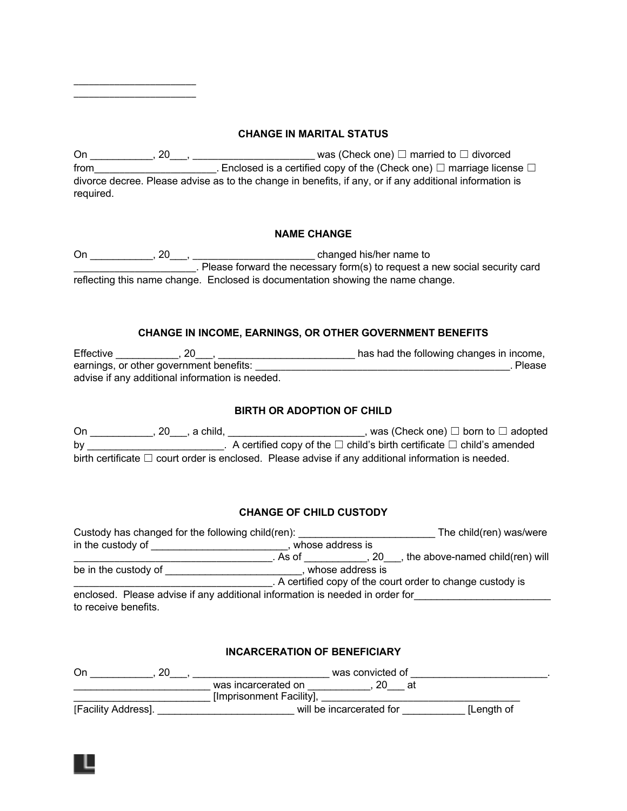# **CHANGE IN MARITAL STATUS**

On \_\_\_\_\_\_\_\_\_\_\_, 20\_\_\_, \_\_\_\_\_\_\_\_\_\_\_\_\_\_\_\_\_\_\_\_\_\_\_\_ was (Check one) ☐ married to ☐ divorced from\_\_\_\_\_\_\_\_\_\_\_\_\_\_\_\_\_\_\_\_\_\_\_. Enclosed is a certified copy of the (Check one)  $□$  marriage license  $□$ divorce decree. Please advise as to the change in benefits, if any, or if any additional information is required.

\_\_\_\_\_\_\_\_\_\_\_\_\_\_\_\_\_\_\_\_\_\_\_\_ \_\_\_\_\_\_\_\_\_\_\_\_\_\_\_\_\_\_\_\_\_\_\_\_

## **NAME CHANGE**

On \_\_\_\_\_\_\_\_\_\_\_, 20\_\_\_, \_\_\_\_\_\_\_\_\_\_\_\_\_\_\_\_\_\_\_\_\_\_\_\_ changed his/her name to \_\_\_\_\_\_\_\_\_\_\_\_\_\_\_\_\_\_\_\_\_\_\_\_. Please forward the necessary form(s) to request a new social security card reflecting this name change. Enclosed is documentation showing the name change.

## **CHANGE IN INCOME, EARNINGS, OR OTHER GOVERNMENT BENEFITS**

Effective \_\_\_\_\_\_\_\_\_\_\_, 20\_\_\_, \_\_\_\_\_\_\_\_\_\_\_\_\_\_\_\_\_\_\_\_\_\_\_\_ has had the following changes in income, earnings, or other government benefits: \_\_\_\_\_\_\_\_\_\_\_\_\_\_\_\_\_\_\_\_\_\_\_\_\_\_\_\_\_\_\_\_\_\_\_\_\_\_\_\_\_\_\_\_\_\_\_\_\_\_. Please advise if any additional information is needed.

## **BIRTH OR ADOPTION OF CHILD**

On \_\_\_\_\_\_\_\_\_\_\_, 20\_\_\_, a child, \_\_\_\_\_\_\_\_\_\_\_\_\_\_\_\_\_\_\_\_\_\_\_\_, was (Check one) □ born to □ adopted by \_\_\_\_\_\_\_\_\_\_\_\_\_\_\_\_\_\_\_\_\_\_\_\_\_\_\_. A certified copy of the □ child's birth certificate □ child's amended birth certificate □ court order is enclosed. Please advise if any additional information is needed.

## **CHANGE OF CHILD CUSTODY**

| Custody has changed for the following child(ren):                            |                  | The child(ren) was/were                                    |
|------------------------------------------------------------------------------|------------------|------------------------------------------------------------|
| in the custody of                                                            | whose address is |                                                            |
|                                                                              | . As of          | , the above-named child(ren) will<br>.20                   |
| be in the custody of<br>whose address is                                     |                  |                                                            |
|                                                                              |                  | . A certified copy of the court order to change custody is |
| enclosed. Please advise if any additional information is needed in order for |                  |                                                            |
| to receive benefits.                                                         |                  |                                                            |

### **INCARCERATION OF BENEFICIARY**

| On                  | was convicted of         |                          |  |            |
|---------------------|--------------------------|--------------------------|--|------------|
|                     | was incarcerated on      |                          |  |            |
|                     | [Imprisonment Facility], |                          |  |            |
| [Facility Address]. |                          | will be incarcerated for |  | [Length of |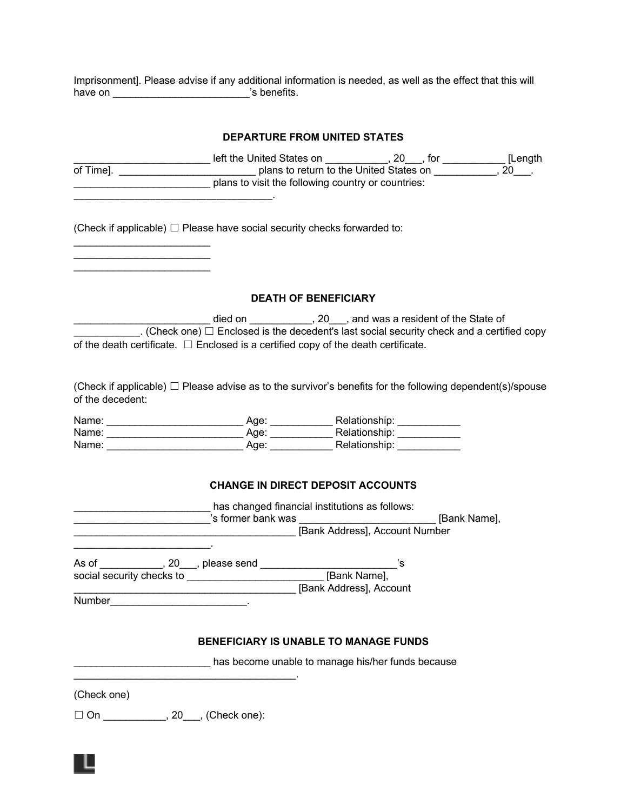Imprisonment]. Please advise if any additional information is needed, as well as the effect that this will have on \_\_\_\_\_\_\_\_\_\_\_\_\_\_\_\_\_\_\_\_\_\_\_\_\_\_\_\_\_\_\_\_'s benefits.

|                  |                                                                                                                                                                                                                                                                                                     | <b>DEPARTURE FROM UNITED STATES</b>          |                                                                                                                                                                                                |
|------------------|-----------------------------------------------------------------------------------------------------------------------------------------------------------------------------------------------------------------------------------------------------------------------------------------------------|----------------------------------------------|------------------------------------------------------------------------------------------------------------------------------------------------------------------------------------------------|
|                  |                                                                                                                                                                                                                                                                                                     |                                              | Length in the United States on <b>Common Common Common Common Common Common Common Common Common Common Common Common Common Common Common Common Common Common Common Common Common Commo</b> |
|                  | (Check if applicable) $\Box$ Please have social security checks forwarded to:                                                                                                                                                                                                                       |                                              |                                                                                                                                                                                                |
|                  |                                                                                                                                                                                                                                                                                                     | <b>DEATH OF BENEFICIARY</b>                  |                                                                                                                                                                                                |
|                  | died on ______________ died on ___________________, 20____, and was a resident of the State of<br>$\Box$ . (Check one) $\Box$ Enclosed is the decedent's last social security check and a certified copy<br>of the death certificate. $\Box$ Enclosed is a certified copy of the death certificate. |                                              |                                                                                                                                                                                                |
| of the decedent: | (Check if applicable) $\Box$ Please advise as to the survivor's benefits for the following dependent(s)/spouse                                                                                                                                                                                      |                                              |                                                                                                                                                                                                |
|                  | Name: ___________________________________Age: ___________________________________                                                                                                                                                                                                                   |                                              |                                                                                                                                                                                                |
|                  |                                                                                                                                                                                                                                                                                                     | <b>CHANGE IN DIRECT DEPOSIT ACCOUNTS</b>     |                                                                                                                                                                                                |
|                  | has changed financial institutions as follows:<br>Subsequently is former bank was and the set of the set of the set of the set of the set of the set of the set o<br>Example 20 [Bank Address], Account Number                                                                                      |                                              |                                                                                                                                                                                                |
|                  |                                                                                                                                                                                                                                                                                                     | [Bank Address], Account                      |                                                                                                                                                                                                |
|                  |                                                                                                                                                                                                                                                                                                     | <b>BENEFICIARY IS UNABLE TO MANAGE FUNDS</b> |                                                                                                                                                                                                |
|                  | has become unable to manage his/her funds because                                                                                                                                                                                                                                                   |                                              |                                                                                                                                                                                                |
| (Check one)      |                                                                                                                                                                                                                                                                                                     |                                              |                                                                                                                                                                                                |
|                  | □ On ____________, 20___, (Check one):                                                                                                                                                                                                                                                              |                                              |                                                                                                                                                                                                |